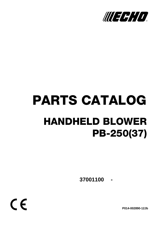

# PARTS CATALOG HANDHELD BLOWER PB-250(37)

**- 37001100**

 $C \in$ 

**P014-002890-12Jb**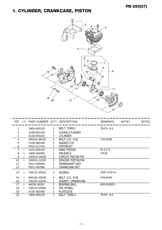## 1. CYLINDER, CRANKCASE, PISTON



| KFY | I V       | PART NUMBER Q'TY DESCRIPTION |                |                            | <b>REMARKS</b>                    | NOTE <sub>1</sub> | NOTF <sub>2</sub> |
|-----|-----------|------------------------------|----------------|----------------------------|-----------------------------------|-------------------|-------------------|
| 1   |           | V805-000120                  | 2              | BOLT, TORX 5               | TB-5*8 10.9                       |                   |                   |
| 2   |           | A160-001260                  |                | COVER, CYLINDER            |                                   |                   |                   |
| 3   |           | A130-001020                  | 1              | <b>CYLINDER</b>            |                                   |                   |                   |
| 4   |           | 900162-05025                 | 4              | BOLT, H.S. 5*25            | 5*25 W.SW                         |                   |                   |
| 5   |           | V100-000190                  |                | GASKET, CYL                |                                   |                   |                   |
| 6   |           | P021-017410                  |                | <b>PISTON KIT</b>          |                                   |                   |                   |
|     | $\ddot{}$ | A101-000140                  |                | RING, PISTON               | B <sub>1.2</sub> T <sub>1.5</sub> |                   |                   |
| 8   | $\ddot{}$ | V606-000000                  |                | PIN, ENG 8                 | 5*8*28                            |                   |                   |
| 9   | $\ddot{}$ | 100015-04630                 | $\overline{2}$ | <b>CIRCLIP, PISTON PIN</b> |                                   |                   |                   |
| 10  | $+$       | 100014-11520                 | 2              | <b>SPACER, PISTON PIN</b>  |                                   |                   |                   |
| 11  |           | A011-000590                  |                | CRANKSHAFT, ASY            |                                   |                   |                   |
| 13  |           | P021-042960                  |                | <b>CRANKCASE SET</b>       |                                   |                   |                   |
| 14  |           | 100212-42031                 | 2              | <b>OILSEAL</b>             | ISCD 12*22*4.5                    |                   |                   |
| 15  | $+$       | 900162-05028                 | 3              | BOLT, H.S. 5*28            | 5*28 W,SW                         |                   |                   |
| 16  | $+$       | 100242-42030                 |                | <b>GASKET, CRANKCASE</b>   |                                   |                   |                   |
| 17  | $+$       | 94035-36201                  | 2              | <b>BEARING BALL</b>        | 6201X3JR2C3                       |                   |                   |
| 18  | $+$       | 100215-03930                 | 2              | PIN, DOWEL                 |                                   |                   |                   |
| 19  |           | V150-002400                  |                | PLATE, EYE                 |                                   |                   |                   |
| 20  |           | V805-000120                  |                | <b>BOLT, TORX 5</b>        | TB-5*8 10.9                       |                   |                   |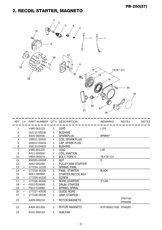## 2. RECOIL STARTER, MAGNETO



| <b>KFY</b>     | LV. | PART NUMBER Q'TY DESCRIPTION |                |                            | <b>REMARKS</b>   | NOTE <sub>1</sub>     | NOTE <sub>2</sub> |
|----------------|-----|------------------------------|----------------|----------------------------|------------------|-----------------------|-------------------|
| 1              |     | V485-001210                  | 1              | <b>LEAD</b>                | L:210            |                       |                   |
| $\overline{2}$ |     | 152115-05530                 | 1              | <b>BUSHING</b>             |                  |                       |                   |
| 3              |     | A425-000000                  | 1              | <b>SPARKPLUG</b>           | BPMR8Y           |                       |                   |
| 4              |     | 159011-03432                 | $\mathbf 1$    | COIL, SPARK PLUG           |                  |                       |                   |
| 5              |     | 159012-03433                 | 1              | CAP, SPARK PLUG            |                  |                       |                   |
| 6              |     | 156110-04920                 | 1              | <b>BUSHING</b>             |                  |                       |                   |
|                |     | V485-001220                  | 1              | <b>LEAD</b>                | L:85             |                       |                   |
| 8              |     | A411-000500                  | 1              | COIL, IGNITION             |                  |                       |                   |
| 10             |     | V804-000070                  | $\overline{2}$ | BOLT, TORX 4               | TB-4*20 12.9     |                       |                   |
| 11             |     | 900595-00008                 | 1.             | NUT                        | 8                |                       |                   |
| 12             |     | A052-000280                  | 1              | PULLEY, ASM STARTER        |                  |                       |                   |
| 13             | $+$ | 177234-12220                 | $\mathbf 1$    | SPRING, PAWL               |                  |                       |                   |
| 14             | $+$ | 177218-44330                 | 1              | PAWL, STARTER              | <b>BLACK</b>     |                       |                   |
| 15             |     | A051-000960                  |                | <b>STARTER, RECOIL ASY</b> |                  |                       |                   |
| 16             | $+$ | 177236-44330                 | $\mathbf 1$    | <b>SCREW</b>               |                  |                       |                   |
| 17             | $+$ | 177226-44330                 | 1              | ROPE, STARTER              | $3*1,000$        |                       |                   |
| 18             | $+$ | P022-019690                  | 1              | DRUM, STARTER              |                  |                       |                   |
| 19             | $+$ | P022-019680                  | 1              | SPRING, SPIRAL             |                  |                       |                   |
| 20             | $+$ | 177227-42030                 | 1              | <b>GUIDE, ROPE</b>         |                  |                       |                   |
| 21             | $+$ | 177228-06530                 | 1              | <b>GRIP, STARTER</b>       |                  |                       |                   |
| 22             |     | A409-000210                  | 1              | ROTOR, MAGNETO             |                  | 37001100-<br>37042266 |                   |
| 22             |     | A409-001250                  | 1              | ROTOR, MAGNETO             | ID:R10024(C1330) | 37042267-             |                   |
| 23             |     | E101-000122                  | 1              | <b>HUB, FAN</b>            |                  |                       |                   |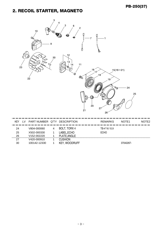## 2. RECOIL STARTER, MAGNETO



| KEY | I V | PART NUMBER Q'TY |   | <b>DESCRIPTION</b> | <b>REMARKS</b> | NOTE <sub>1</sub> | NOTE <sub>2</sub> |
|-----|-----|------------------|---|--------------------|----------------|-------------------|-------------------|
| 24  |     | V804-000060      | 4 | BOLT, TORX 4       | TB-4*16 10.9   |                   |                   |
| 25  |     | X502-000330      |   | LABEL,ECHO         | <b>ECHO</b>    |                   |                   |
| 26  |     | V152-002220      |   | PLATE, ANGLE       |                |                   |                   |
| 27  |     | V420-000910      |   | <b>CUSHION</b>     |                |                   |                   |
| 30  |     | 100142-12330     |   | <b>WOODRUFF</b>    |                | 37042267-         |                   |
|     |     |                  |   |                    |                |                   |                   |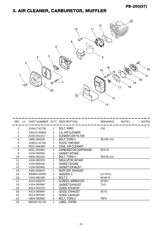## 3. AIR CLEANER, CARBURETOR, MUFFLER



| <b>KEY</b> | TV. | PART NUMBER Q'TY DESCRIPTION |                |                            | <b>REMARKS</b> | NOTE <sub>1</sub> | NOTE <sub>2</sub> |
|------------|-----|------------------------------|----------------|----------------------------|----------------|-------------------|-------------------|
|            |     | 210417-52730                 | 1.             | <b>BOLT, WING</b>          | $5*20$         |                   |                   |
| 2          |     | 130313-05863                 |                | LID, AIR CLEANER           |                |                   |                   |
| 3          |     | A226-001410                  |                | <b>ELEMENT, AIR FILTER</b> |                |                   |                   |
|            |     | V805-000100                  | 2              | BOLT, TORX 5               | TB-5*65 10.9   |                   |                   |
| 5          |     | 129011-52730                 | 1              | PLATE, PREVENT             |                |                   |                   |
| 6          |     | P021-004480                  |                | <b>CASE, AIR CLEANER</b>   |                |                   |                   |
| 8          |     | A021-001882                  |                | CARBURETOR, DIAPHRAGM      | WTA-33         |                   |                   |
| 9          |     | V103-000550                  |                | <b>GASKET, INTAKE</b>      |                |                   |                   |
| 10         |     | V805-000220                  | $\overline{2}$ | <b>BOLT, TORX 5</b>        | TB-5*25 12.9   |                   |                   |
| 11         |     | A200-000370                  | 1              | <b>INSULATOR, INTAKE</b>   |                |                   |                   |
| 12         |     | V103-000540                  |                | <b>GASKET, INTAKE</b>      |                |                   |                   |
| 13         |     | V104-000960                  |                | GASKET, EXHAUST            |                |                   |                   |
| 14         |     | A300-000810                  |                | <b>MUFFLER, EXHAUST</b>    |                |                   |                   |
| 15         |     | 900603-00005                 | 2              | <b>WASHER 5</b>            | $5.5*12*0.8$   |                   |                   |
| 16         |     | V203-000190                  | $\overline{2}$ | BOLT <sub>.5</sub>         | AN A2-70       |                   |                   |
| 17         |     | A310-000070                  | 1              | <b>SCREEN, ARRESTOR</b>    | 22*28*3        |                   |                   |
| 18         |     | V104-000940                  |                | <b>GASKET, EXHAUST</b>     | T:0.5          |                   |                   |
| 19         |     | A313-001070                  |                | <b>GUIDE, EXHAUST</b>      |                |                   |                   |
| 20         |     | A313-000840                  |                | <b>GUIDE, EXHAUST</b>      | $20.5*3$       |                   |                   |
| 21         |     | A313-001091                  |                | <b>GUIDE, EXHAUST</b>      |                |                   |                   |
| 22         |     | V804-000080                  | 5              | BOLT, TORX 4               | TB4*8          |                   |                   |
| 23         |     | 890332-52730                 |                | LABEL, CHOKE               |                |                   |                   |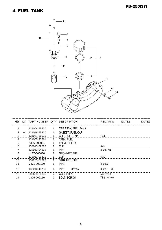#### 4. FUEL TANK



| <b>KEY</b> | LV.       | PART NUMBER Q'TY DESCRIPTION |   |                         | <b>REMARKS</b> | NOTE <sub>1</sub> | NOTE <sub>2</sub> |
|------------|-----------|------------------------------|---|-------------------------|----------------|-------------------|-------------------|
|            |           | 131004-55530                 | 1 | CAP ASSY, FUEL TANK     |                |                   |                   |
| 2          | $\div$    | 131016-55830                 |   | <b>GASKET, FUEL CAP</b> |                |                   |                   |
| 3          | $\ddot{}$ | 131051-56030                 |   | CLIP, FUEL CAP          | 100L           |                   |                   |
| 4          |           | 131005-20561                 |   | <b>TANK, FUEL</b>       |                |                   |                   |
| 5          |           | A356-000031                  |   | <b>VALVE, CHECK</b>     |                |                   |                   |
|            |           | 132013-09820                 |   | <b>CLIP</b>             | 6MM            |                   |                   |
|            |           | 132012-04631                 |   | <b>PIPE</b>             | 3*5*80 NBR     |                   |                   |
| 8          |           | V <sub>137</sub> -000030     |   | <b>GROMMET, FUEL</b>    |                |                   |                   |
| 9          |           | 132013-09820                 |   | <b>CLIP</b>             | <b>AMM</b>     |                   |                   |
| 10         |           | 131205-07320                 |   | <b>STRAINER, FUEL</b>   |                |                   |                   |
| 11         |           | V471-002170                  |   | <b>PIPE</b>             | $3*5*230$      |                   |                   |
| 12         |           | 132010-49730                 |   | <b>PIPE</b><br>$3*6*85$ | YL<br>$3*6*85$ |                   |                   |
| 13         |           | 900603-00005                 | 2 | WASHER 5                | $5.5*12*0.8$   |                   |                   |
| 14         |           | V805-000150                  | 2 | <b>BOLT, TORX 5</b>     | TB-5*16 10.9   |                   |                   |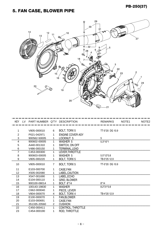#### PB-250(37)

## 5. FAN CASE, BLOWER PIPE



|                | KEY LV PART NUMBER Q'TY DESCRIPTION |                |                         | <b>REMARKS</b>  | NOTE <sub>1</sub> | NOTE <sub>2</sub> |
|----------------|-------------------------------------|----------------|-------------------------|-----------------|-------------------|-------------------|
|                |                                     |                |                         |                 |                   |                   |
| 1              | V805-000010                         | 6              | <b>BOLT, TORX 5</b>     | TT-5*20 DG 10.9 |                   |                   |
| $\overline{2}$ | P021-042971                         |                | <b>ENGINE COVER ASY</b> |                 |                   |                   |
| 3              | 900562-50005                        |                | LOCKNUT 5               | 5               |                   |                   |
| 4              | 900602-00005                        | 1              | <b>WASHER 5</b>         | $5.3*10*1$      |                   |                   |
| 5              | A440-001310                         |                | SWITCH, ON OFF          |                 |                   |                   |
| 6              | V486-000150                         |                | TERMINAL, LEAD          |                 |                   |                   |
|                | C453-000300                         |                | LEVER, THROTTLE         |                 |                   |                   |
| 8              | 900603-00005                        | 1              | <b>WASHER 5</b>         | $5.5*12*0.8$    |                   |                   |
| 9              | V805-000220                         | 1              | BOLT, TORX 5            | TB-5*25 12.9    |                   |                   |
| 10             | V805-000010                         | $\overline{7}$ | <b>BOLT, TORX 5</b>     | TT-5*20 DG 10.9 |                   |                   |
| 11             | E103-000700                         | 1              | CASE, FAN               |                 |                   |                   |
| 12             | X505-002080                         |                | LABEL, CAUTION          |                 |                   |                   |
| 13             | X547-001690                         | 1              | LABEL, ECHO             |                 |                   |                   |
| 14             | E104-000110                         |                | <b>GRID, BLOWER</b>     |                 |                   |                   |
| 15             | 900100-08014                        |                | <b>BOLT 8*14</b>        | $8*14$          |                   |                   |
| 16             | 100143-19830                        | 1              | <b>WASHER</b>           | $8.2*31*0.8$    |                   |                   |
| 17             | C662-000040                         |                | PIECE, LEVER            |                 |                   |                   |
| 18             | V804-000070                         | 4              | BOLT, TORX 4            | TB-4*20 12.9    |                   |                   |
| 19             | E100-000070                         |                | <b>FAN, BLOWER</b>      |                 |                   |                   |
| 20             | E103-000691                         |                | CASE, FAN               |                 |                   |                   |
| 21             | 351335-20560                        | $\overline{2}$ | <b>CUSHION</b>          |                 |                   |                   |
| 22             | C450-000411                         | 1              | CONTROL, THROTTLE       |                 |                   |                   |
| 23             | C454-000190                         |                | ROD, THROTTLE           |                 |                   |                   |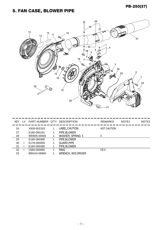#### PB-250(37)

## 5. FAN CASE, BLOWER PIPE



| KEY | I V       | PART NUMBER Q'TY DESCRIPTION |                         | <b>REMARKS</b>     | NOTE <sub>1</sub> | NOTE <sub>2</sub> |
|-----|-----------|------------------------------|-------------------------|--------------------|-------------------|-------------------|
| 24  |           | X505-002310                  | LABEL, CAUTION          | <b>HOT CAUTION</b> |                   |                   |
| 27  |           | E165-000191                  | PIPE, BLOWER            |                    |                   |                   |
| 28  |           | 900605-00005                 | <b>WASHER, SPRING 5</b> | 5                  |                   |                   |
| 29  |           | E165-000380                  | PIPE, BLOWER            |                    |                   |                   |
| 30  | $\ddot{}$ | E178-000050                  | <b>GUARD, PIPE</b>      |                    |                   |                   |
| 31  |           | E165-000390                  | PIPE, BLOWER            |                    |                   |                   |
| 32  |           | V583-000080                  | <b>RING</b>             | $CE-5$             |                   |                   |
| 33  |           | 895410-06960                 | WRENCH, W/S-DRIVER      |                    |                   |                   |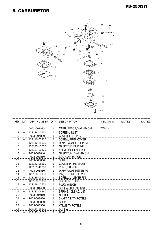#### 6. CARBURETOR



| <b>KEY</b> | LV. | PART NUMBER Q'TY DESCRIPTION |                |                            | <b>REMARKS</b> | NOTE <sub>1</sub> | NOTE <sub>2</sub> |
|------------|-----|------------------------------|----------------|----------------------------|----------------|-------------------|-------------------|
|            |     | A021-001882                  | $\mathbf 1$    | CARBURETOR, DIAPHRAGM      | <b>WTA-33</b>  |                   |                   |
| 2          | $+$ | 123126-10631                 | 1              | <b>SCREEN, INLET</b>       |                |                   |                   |
| 3          | $+$ | P003-004880                  | $\mathbf 1$    | <b>COVER. FUEL PUMP</b>    |                |                   |                   |
| 4          | $+$ | 123110-03930                 | 1              | <b>SCREW, PUMP COVER</b>   |                |                   |                   |
| 5          | $+$ | 123112-15030                 | 1              | DIAPHRAGM, FUEL PUMP       |                |                   |                   |
| 6          | $+$ | 123125-15030                 | 1 <sub>1</sub> | <b>GASKET, FUEL PUMP</b>   |                |                   |                   |
| 7          | $+$ | 123137-19830                 | 1              | <b>VALVE, INLET NEEDLE</b> |                |                   |                   |
| 8          | $+$ | P003-003840                  | 1              | GASKET, M. DIAPHRAGM       |                |                   |                   |
| 9          | $+$ | P003-003850                  | $\mathbf{1}$   | <b>BODY, AIR PURGE</b>     |                |                   |                   |
| 10         | $+$ | P003-003860                  | $\mathbf{1}$   | <b>SPRING</b>              |                |                   |                   |
| 11         | $+$ | 123142-05560                 | 1              | <b>COVER, PRIMER PUMP</b>  |                |                   |                   |
| 12         | $+$ | 123181-40630                 | 1              | PUMP, PRIMER               |                |                   |                   |
| 13         | $+$ | P003-001850                  | $\mathbf{1}$   | DIAPHRAGM, METERING        |                |                   |                   |
| 14         | $+$ | 123138-03930                 | 1              | PIN, METERING LEVER        |                |                   |                   |
| 15         | $+$ | 123139-03930                 | $\mathbf 1$    | <b>SCREW. M. LEVER PIN</b> |                |                   |                   |
| 16         | $+$ | 123123-03930                 | $\mathbf{1}$   | LEVER, METERING            |                |                   |                   |
| 17         | $+$ | 123146-10631                 | $\mathbf{1}$   | PLUG, WELCH                |                |                   |                   |
| 18         | $+$ | P003-001400                  | $\mathbf{1}$   | <b>SCREW, IDLE ADJUST</b>  |                |                   |                   |
| 19         | $+$ | 123133-04260                 | 1              | SPRING, IDLE ADJUST        |                |                   |                   |
| 20         | $+$ | P003-004010                  | 1              | <b>NEEDLE</b>              |                |                   |                   |
| 21         | $+$ | P003-003880                  | 1              | SHAFT ASY.THROTTLE         |                |                   |                   |
| 22         | $+$ | P003-003890                  | 1              | <b>SPRING</b>              |                |                   |                   |
| 23         | $+$ | P003-003900                  | 1              | <b>VALVE, THROTTLE</b>     |                |                   |                   |
| 24         | $+$ | 123114-38830                 | 2              | <b>SCREW</b>               |                |                   |                   |
| 25         | $+$ | 123127-15030                 | 1.             | <b>RING</b>                |                |                   |                   |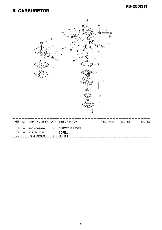#### 6. CARBURETOR



|     | KEY LV PART NUMBER Q'TY DESCRIPTION |   |                                 | REMARKS | NOTE1 | NOTE <sub>2</sub> |
|-----|-------------------------------------|---|---------------------------------|---------|-------|-------------------|
| 26. |                                     |   | + P003-003910 1 THROTTLE, LEVER |         |       |                   |
|     | 27 + 123144-02960                   | 4 | <b>SCREW</b>                    |         |       |                   |
| 29  | P003-004020                         | 1 |                                 |         |       |                   |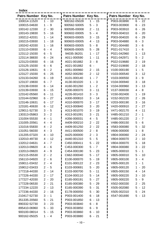|  | M.<br>۰. |  |
|--|----------|--|
|  |          |  |

| Patrs Number Key No. |                                                 | Patrs Number Key No. |                                                  | Patrs Number Key No. |                                                    |
|----------------------|-------------------------------------------------|----------------------|--------------------------------------------------|----------------------|----------------------------------------------------|
| 100014-11520         | $1 - 10$                                        | 900162-05028         | $1 - 15$                                         | P003-003890          | $6 - 22$                                           |
| 100015-04630         | 9<br>$\mathbf 1$<br>$\overline{\phantom{a}}$    | 900562-50005         | 3<br>5<br>$\blacksquare$                         | P003-003900          | 23<br>6 -                                          |
| 100142-12330         | 30<br>2<br>$\sim$                               | 900595-00008         | $\overline{2}$<br>11<br>$\blacksquare$           | P003-003910          | 6<br>26<br>$\overline{\phantom{a}}$                |
| 100143-19830         | 5<br>16<br>$\sim$                               | 900602-00005         | 5<br>$\overline{4}$<br>$\overline{\phantom{a}}$  | P003-004010          | 20<br>6<br>$\overline{\phantom{a}}$                |
| 100212-42031         | 14<br>1<br>$\blacksquare$                       | 900603-00005         | 3<br>$\mathbf{L}$<br>15                          | P003-004020          | 29<br>$6 -$                                        |
| 100215-03930         | 18<br>$\mathbf{1}$<br>$\blacksquare$            | 900603-00005         | 13<br>$\overline{4}$<br>$\overline{\phantom{a}}$ | P003-004880          | 3<br>6<br>$\blacksquare$                           |
| 100242-42030         | 16<br>$\mathbf 1$<br>$\blacksquare$             | 900603-00005         | $-8$<br>5                                        | P021-004480          | $3 -$<br>6                                         |
| 123110-03930         | 6<br>4<br>$\sim$                                | 900605-00005         | 5<br>-28<br>$\overline{\phantom{a}}$             | P021-017410          | 6<br>1<br>$\overline{\phantom{a}}$                 |
| 123112-15030         | 6<br>- 5                                        | 94035-36201          | 17<br>$\mathbf 1$<br>$\overline{\phantom{a}}$    | P021-042960          | 13<br>1<br>$\overline{\phantom{0}}$                |
| 123114-38830         | $-24$<br>6                                      | A011-000590          | 11<br>$\mathbf{1}$<br>$\blacksquare$             | P021-042971          | 5<br>2<br>$\overline{\phantom{a}}$                 |
| 123123-03930         | 6<br>16<br>$\blacksquare$                       | A021-001882          | 3<br>$-8$                                        | P022-019680          | $\overline{2}$<br>19<br>$\blacksquare$             |
| 123125-15030         | 6<br>6<br>$\overline{\phantom{a}}$              | A021-001882          | 6<br>$\blacksquare$                              | P022-019690          | $2 -$<br>18                                        |
| 123126-10631         | 6<br>$-2$                                       | A051-000960          | $2 -$<br>15                                      | V100-000190          | 5<br>$\mathbf{1}$<br>$\blacksquare$                |
| 123127-15030         | $-25$<br>6                                      | A052-000280          | $2 - 12$                                         | V103-000540          | 12<br>3<br>$\overline{\phantom{a}}$                |
| 123133-04260         | $-19$<br>6                                      | A101-000140          | $\mathbf{1}$<br>$\overline{7}$<br>$\blacksquare$ | V103-000550          | 3<br>9<br>$\blacksquare$                           |
| 123137-19830         | $-7$<br>6                                       | A130-001020          | $\mathbf{1}$<br>3<br>$\blacksquare$              | V104-000940          | 3<br>18<br>$\blacksquare$                          |
| 123138-03930         | 6<br>$-14$                                      | A160-001260          | $\overline{2}$<br>$\mathbf{1}$<br>$\blacksquare$ | V104-000960          | 3<br>13<br>$\overline{\phantom{a}}$                |
| 123139-03930         | 6<br>$-15$                                      | A200-000370          | 3<br>11<br>$\blacksquare$                        | V137-000030          | 4 -<br>8                                           |
| 123142-05560         | 11<br>6<br>$\blacksquare$                       | A226-001410          | 3<br>3<br>$\blacksquare$                         | V150-002400          | $\mathbf{1}$<br>19<br>$\blacksquare$               |
| 123144-02960         | 6<br>$-27$                                      | A300-000810          | 3<br>14<br>$\blacksquare$                        | V152-002220          | $\overline{2}$<br>26<br>$\blacksquare$             |
| 123146-10631         | 6<br>$-17$                                      | A310-000070          | 3<br>17<br>$\blacksquare$                        | V203-000190          | $3 -$<br>16                                        |
| 123181-40630         | 6<br>12<br>$\blacksquare$                       | A313-000840          | 3<br>20<br>$\blacksquare$                        | V420-000910          | $\overline{2}$<br>$\overline{\phantom{a}}$<br>27   |
| 129011-52730         | 3<br>5<br>$\blacksquare$                        | A313-001070          | 3<br>19<br>$\blacksquare$                        | V471-002170          | 11<br>4<br>$\sim$                                  |
| 130313-05863         | 3<br>$\overline{2}$<br>$\blacksquare$           | A313-001091          | 3<br>21<br>$\blacksquare$                        | V485-001210          | $\overline{2}$<br>$\overline{1}$<br>$\blacksquare$ |
| 131004-55530         | $\overline{4}$<br>$\mathbf 1$<br>$\blacksquare$ | A356-000031          | 5<br>4<br>$\overline{\phantom{a}}$               | V485-001220          | $\overline{2}$<br>$-7$                             |
| 131005-20561         | 4<br>$-4$                                       | A409-000210          | $\overline{2}$<br>22<br>$\blacksquare$           | V486-000150          | $5 -$<br>6                                         |
| 131016-55830         | $-2$<br>4                                       | A409-001250          | 22<br>$\overline{2}$<br>$\blacksquare$           | V583-000080          | 5<br>32<br>$\blacksquare$                          |
| 131051-56030         | 3<br>$4 -$                                      | A411-000500          | $\overline{2}$<br>$-8$                           | V606-000000          | 8<br>1<br>$\blacksquare$                           |
| 131205-07320         | $4 - 10$                                        | A425-000000          | $2 - 3$                                          | V804-000060          | $2 - 24$                                           |
| 132010-49730         | $4 - 12$                                        | A440-001310          | $5 - 5$                                          | V804-000070          | $2 - 10$                                           |
| 132012-04631         | $4 - 7$                                         | C450-000411          | $5 - 22$                                         | V804-000070          | $5 -$<br>18                                        |
| 132013-09820         | $4 - 6$                                         | C453-000300          | $5 - 7$                                          | V804-000080          | $3 - 22$                                           |
| 132013-09820         | $4 - 9$                                         | C454-000190          | $5 - 23$                                         | V805-000010          | $5 - 1$                                            |
| 152115-05530         | $2 - 2$                                         | C662-000040          | $5 - 17$                                         | V805-000010          | $5 - 10$                                           |
| 156110-04920         | $2 - 6$                                         | E100-000070          | $5 - 19$                                         | V805-000100          | $3 - 4$                                            |
| 159011-03432         | $2 - 4$                                         | E101-000122          | $2 - 23$                                         | V805-000120          | 1<br>$-1$                                          |
| 159012-03433         | $2 - 5$                                         | E103-000691          | $5 - 20$                                         | V805-000120          | $1 - 20$                                           |
| 177218-44330         | $2 - 14$                                        | E103-000700          | $5 - 11$                                         | V805-000150          | 14<br>$4 -$                                        |
| 177226-44330         | $2 - 17$                                        | E104-000110          | $5 - 14$                                         | V805-000220          | 3 -<br>10                                          |
| 177227-42030         | $2 - 20$                                        | E165-000191          | $5 - 27$                                         | V805-000220          | $5 - 9$                                            |
| 177228-06530         | $2 - 21$                                        | E165-000380          | $5 - 29$                                         | X502-000330          | $2 - 25$                                           |
| 177234-12220         | $2 - 13$                                        | E165-000390          | $5 - 31$                                         | X505-002080          | $5 - 12$                                           |
| 177236-44330         | $2 - 16$                                        | E178-000050          | 5<br>$-30$                                       | X505-002310          | $5 - 24$                                           |
| 210417-52730         | $3 - 1$                                         | P003-001400          | $-18$<br>6                                       | X547-001690          | $5 - 13$                                           |
| 351335-20560         | $5 - 21$                                        | P003-001850          | 6<br>$-13$                                       |                      |                                                    |
| 890332-52730         | $3 - 23$                                        | P003-003840          | 6<br>$-8$                                        |                      |                                                    |
| 895410-06960         | $5 - 33$                                        | P003-003850          | 6<br>$-9$                                        |                      |                                                    |
| 900100-08014         | $5 - 15$                                        | P003-003860          | 6<br>$-10$                                       |                      |                                                    |
| 900162-05025         | $1 - 4$                                         | P003-003880          | $6 - 21$                                         |                      |                                                    |
|                      |                                                 |                      |                                                  | $\blacksquare$       |                                                    |